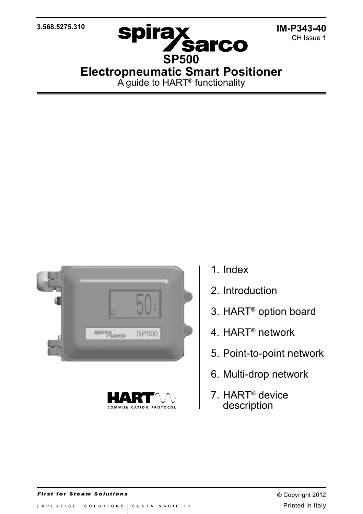**3.568.5275.310**

**IM-P343-40** CH Issue 1

## **spirax Sarco SP500 Electropneumatic Smart Positioner**  A guide to HART® functionality





- 1. Index
- 2. Introduction
- 3. HART® option board
- 4. HART® network
- 5. Point-to-point network
- 6. Multi-drop network
- 7. HART® device description

EXPERTISE | SOLUTIONS | SUSTAINABILITY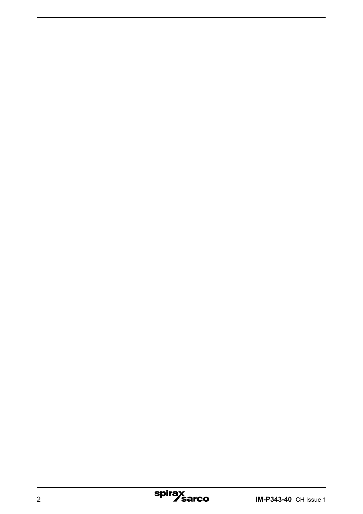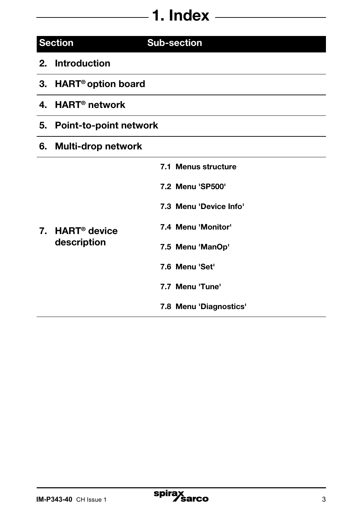# **1. Index** – **1.** Index – **1.** Index – **1.** Index – **1.** Index – **1.** Index – **1.** Index – **1.** Index – **1.** Index – **1.** Index – **1.** Index – **1.** Index – **1.** Index – **1.** Index – **1.** Index – **1.** Index – **1.** Index –

|    | <b>Section</b>                             | <b>Sub-section</b>     |  |
|----|--------------------------------------------|------------------------|--|
| 2. | <b>Introduction</b>                        |                        |  |
|    | 3. HART <sup>®</sup> option board          |                        |  |
|    | 4. HART <sup>®</sup> network               |                        |  |
| 5. | <b>Point-to-point network</b>              |                        |  |
| 6. | <b>Multi-drop network</b>                  |                        |  |
|    | 7. HART <sup>®</sup> device<br>description | 7.1 Menus structure    |  |
|    |                                            | 7.2 Menu 'SP500'       |  |
|    |                                            | 7.3 Menu 'Device Info' |  |
|    |                                            | 7.4 Menu 'Monitor'     |  |
|    |                                            | 7.5 Menu 'ManOp'       |  |
|    |                                            | 7.6 Menu 'Set'         |  |
|    |                                            | 7.7 Menu 'Tune'        |  |
|    |                                            | 7.8 Menu 'Diagnostics' |  |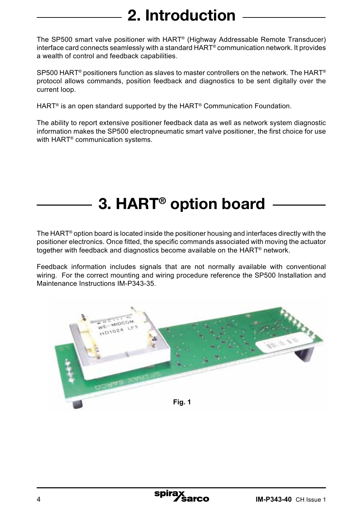# 2. Introduction

The SP500 smart valve positioner with HART® (Highway Addressable Remote Transducer) interface card connects seamlessly with a standard HART® communication network. It provides a wealth of control and feedback capabilities.

SP500 HART<sup>®</sup> positioners function as slaves to master controllers on the network. The HART<sup>®</sup> protocol allows commands, position feedback and diagnostics to be sent digitally over the current loop.

HART<sup>®</sup> is an open standard supported by the HART<sup>®</sup> Communication Foundation.

The ability to report extensive positioner feedback data as well as network system diagnostic information makes the SP500 electropneumatic smart valve positioner, the first choice for use with HART<sup>®</sup> communication systems.

# 3. HART® option board

The HART® option board is located inside the positioner housing and interfaces directly with the positioner electronics. Once fitted, the specific commands associated with moving the actuator together with feedback and diagnostics become available on the HART® network.

Feedback information includes signals that are not normally available with conventional wiring. For the correct mounting and wiring procedure reference the SP500 Installation and Maintenance Instructions IM-P343-35.

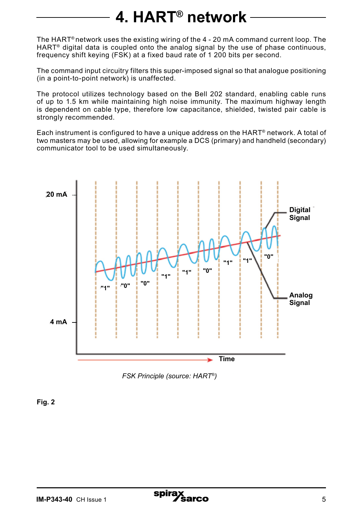# **4. HART® network**

The HART® network uses the existing wiring of the 4 - 20 mA command current loop. The HART<sup>®</sup> digital data is coupled onto the analog signal by the use of phase continuous, frequency shift keying (FSK) at a fixed baud rate of 1 200 bits per second.

The command input circuitry filters this super-imposed signal so that analogue positioning (in a point-to-point network) is unaffected.

The protocol utilizes technology based on the Bell 202 standard, enabling cable runs of up to 1.5 km while maintaining high noise immunity. The maximum highway length is dependent on cable type, therefore low capacitance, shielded, twisted pair cable is strongly recommended.

Each instrument is configured to have a unique address on the HART® network. A total of two masters may be used, allowing for example a DCS (primary) and handheld (secondary) communicator tool to be used simultaneously.



*FSK Principle (source: HART®)*

**Fig. 2**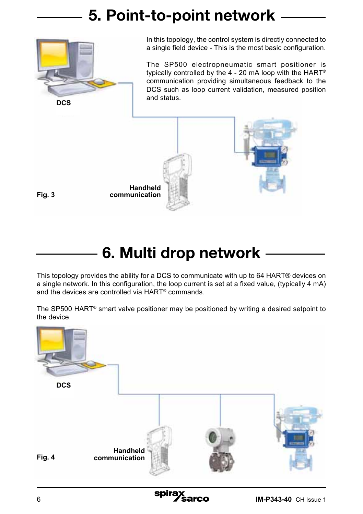# 5. Point-to-point network



# 6. Multi drop network

This topology provides the ability for a DCS to communicate with up to 64 HART® devices on a single network. In this configuration, the loop current is set at a fixed value, (typically 4 mA) and the devices are controlled via HART® commands.

The SP500 HART® smart valve positioner may be positioned by writing a desired setpoint to the device.



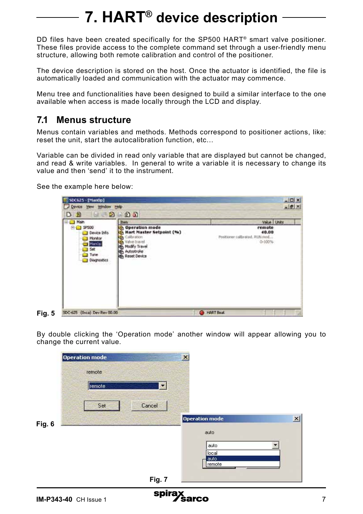## **7. HART® device description**

DD files have been created specifically for the SP500 HART<sup>®</sup> smart valve positioner. These files provide access to the complete command set through a user-friendly menu structure, allowing both remote calibration and control of the positioner.

The device description is stored on the host. Once the actuator is identified, the file is automatically loaded and communication with the actuator may commence.

Menu tree and functionalities have been designed to build a similar interface to the one available when access is made locally through the LCD and display.

#### **7.1 Menus structure**

Menus contain variables and methods. Methods correspond to positioner actions, like: reset the unit, start the autocalibration function, etc…

Variable can be divided in read only variable that are displayed but cannot be changed, and read & write variables. In general to write a variable it is necessary to change its value and then 'send' it to the instrument.

See the example here below:



By double clicking the 'Operation mode' another window will appear allowing you to change the current value.

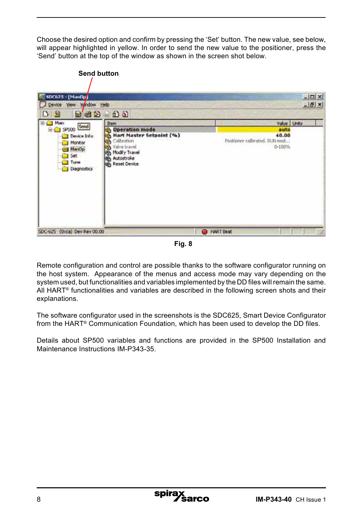Choose the desired option and confirm by pressing the 'Set' button. The new value, see below, will appear highlighted in yellow. In order to send the new value to the positioner, press the 'Send' button at the top of the window as shown in the screen shot below.

| <b>Send button</b>                                                                                                                                                                                                                                                          |                                                                           |
|-----------------------------------------------------------------------------------------------------------------------------------------------------------------------------------------------------------------------------------------------------------------------------|---------------------------------------------------------------------------|
| 5 SDC625 - [Manflp]                                                                                                                                                                                                                                                         | $-12x$                                                                    |
| Device<br>View Window Help<br>幻幻<br>D <sub>2</sub><br><b>MOND</b>                                                                                                                                                                                                           | $-10x$                                                                    |
| <b>E DI Main</b><br><b>Down</b><br>Send 3P500 Send<br><b>Operation mode</b><br>Hart Master Setpoint (%)<br>Device Info<br><b>Part</b><br>Calibration<br>Monitor<br>Valve travel<br>ManOp<br>Modify Travel<br>Set<br>Autostroke<br>Tune<br>Reset Device<br>ውነ<br>Diagnostics | Value Links<br>auto<br>40.00<br>Positioner calibrated. BLIV mod<br>0-100% |
| SDC-625 (0xca) Dev Rev 00.00                                                                                                                                                                                                                                                | <b>HART Beat</b><br>c                                                     |

**Fig. 8**

Remote configuration and control are possible thanks to the software configurator running on the host system. Appearance of the menus and access mode may vary depending on the system used, but functionalities and variables implemented by the DD files will remain the same. All HART® functionalities and variables are described in the following screen shots and their explanations.

The software configurator used in the screenshots is the SDC625, Smart Device Configurator from the HART® Communication Foundation, which has been used to develop the DD files.

Details about SP500 variables and functions are provided in the SP500 Installation and Maintenance Instructions IM-P343-35.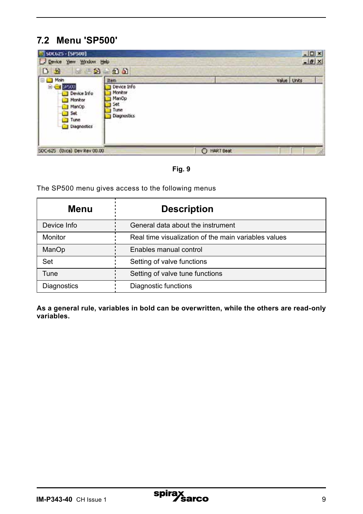### **7.2 Menu 'SP500'**

| <b>B</b> SDC625 - [SP500]                                                                        |                                                                                     |                      |             | $  x$          |
|--------------------------------------------------------------------------------------------------|-------------------------------------------------------------------------------------|----------------------|-------------|----------------|
| Device your Window Help                                                                          |                                                                                     |                      |             | $-18$ $\times$ |
| D2                                                                                               | $\blacksquare$                                                                      |                      |             |                |
| <b>BELLEY</b> Moln<br>B 63 2500<br>Device Info<br>Monitor<br>ManOp<br>Set<br>Tune<br>Diagnostics | <b>Dbem</b><br>Device Info<br>Monitor<br>ManOp<br>Set<br>Tune<br><b>Diagnostics</b> |                      | Value Links |                |
| SDC-625 (0xca) Dev Rev 00.00                                                                     |                                                                                     | HART Beat<br>$\circ$ |             | 18,            |

**Fig. 9**

The SP500 menu gives access to the following menus

| Menu        | <b>Description</b>                                   |
|-------------|------------------------------------------------------|
| Device Info | General data about the instrument                    |
| Monitor     | Real time visualization of the main variables values |
| ManOp       | Enables manual control                               |
| Set         | Setting of valve functions                           |
| Tune        | Setting of valve tune functions                      |
| Diagnostics | Diagnostic functions                                 |

**As a general rule, variables in bold can be overwritten, while the others are read-only variables.**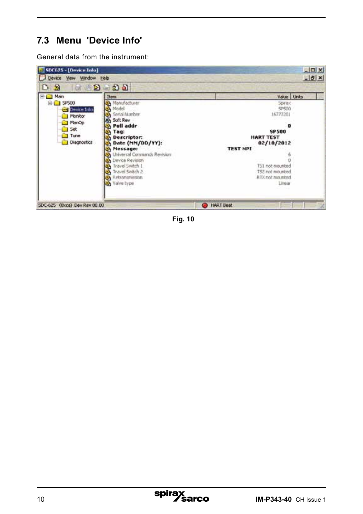## **7.3 Menu 'Device Info'**

General data from the instrument:

| <b>b</b> SDC625 - [Device Info]                                                           |                                                                                                                                                                                                                                                                | $   x$                                                                                                                                                                          |
|-------------------------------------------------------------------------------------------|----------------------------------------------------------------------------------------------------------------------------------------------------------------------------------------------------------------------------------------------------------------|---------------------------------------------------------------------------------------------------------------------------------------------------------------------------------|
| <b>Device</b><br><b>View Window</b>                                                       | Help                                                                                                                                                                                                                                                           | $-10x$                                                                                                                                                                          |
| $D = 20$                                                                                  |                                                                                                                                                                                                                                                                |                                                                                                                                                                                 |
| E <b>D</b> Main                                                                           | <b>Ibom</b>                                                                                                                                                                                                                                                    | Value Units                                                                                                                                                                     |
| <b>B-C3 SP500</b><br>Devise Info<br>Monitor<br>ManOp<br>Set<br>Tune<br><b>Diagnostics</b> | Manufacturer<br>Model<br>ω.<br>Serial Number<br><b>Bh</b> Soft Rev<br>Poll addr<br>Tag:<br>Descriptor:<br>Date (MM/DD/YY):<br>Message:<br>Universal Commands Revision<br>Device Revision<br>Travel Switch 1<br>Travel Switch 2<br>Retranomission<br>Walve type | Spirax<br>52500<br>16222201<br>o<br><b>SP500</b><br><b>HART TEST</b><br>02/10/2012<br><b>TEST NPI</b><br>TS1 not mounted<br>T52 not mounted<br><b>RTX not mounted</b><br>Linear |
| SDC-625 (0xca) Dev Rev 00.00                                                              |                                                                                                                                                                                                                                                                | HART Beat<br>Ø<br>B.                                                                                                                                                            |

**Fig. 10**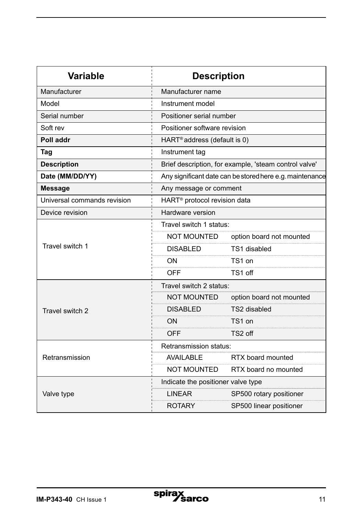| <b>Variable</b>             | <b>Description</b>                       |                                                          |  |
|-----------------------------|------------------------------------------|----------------------------------------------------------|--|
| Manufacturer                | Manufacturer name                        |                                                          |  |
| Model                       | Instrument model                         |                                                          |  |
| Serial number               | Positioner serial number                 |                                                          |  |
| Soft rev                    | Positioner software revision             |                                                          |  |
| Poll addr                   | HART <sup>®</sup> address (default is 0) |                                                          |  |
| Tag                         | Instrument tag                           |                                                          |  |
| <b>Description</b>          |                                          | Brief description, for example, 'steam control valve'    |  |
| Date (MM/DD/YY)             |                                          | Any significant date can be stored here e.g. maintenance |  |
| <b>Message</b>              | Any message or comment                   |                                                          |  |
| Universal commands revision | HART <sup>®</sup> protocol revision data |                                                          |  |
| Device revision             | Hardware version                         |                                                          |  |
|                             | Travel switch 1 status:                  |                                                          |  |
|                             |                                          | NOT MOUNTED option board not mounted                     |  |
| Travel switch 1             | DISABLED TS1 disabled                    | TS1 disabled                                             |  |
|                             | ON.                                      | TS1 on                                                   |  |
|                             | OFF                                      | TS1 off                                                  |  |
|                             | Travel switch 2 status:                  |                                                          |  |
|                             |                                          | NOT MOUNTED option board not mounted                     |  |
| Travel switch 2             |                                          |                                                          |  |
|                             | ON.                                      | TS1 on                                                   |  |
|                             | OFF                                      | TS2 off                                                  |  |
|                             | Retransmission status:                   |                                                          |  |
| Retransmission              | AVAILABLE                                | RTX board mounted                                        |  |
|                             | NOT MOUNTED                              | RTX board no mounted                                     |  |
|                             | Indicate the positioner valve type       |                                                          |  |
| Valve type                  |                                          | LINEAR SP500 rotary positioner                           |  |
|                             | ROTARY                                   | SP500 linear positioner                                  |  |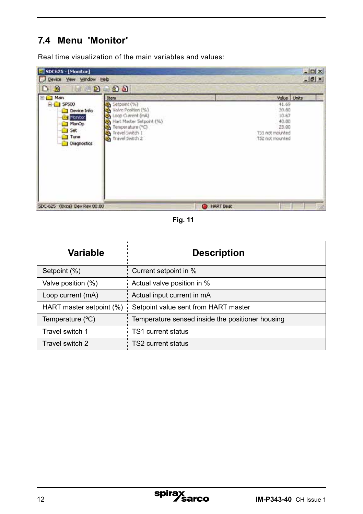## **7.4 Menu 'Monitor'**

Real time visualization of the main variables and values:



**Fig. 11**

| Variable                 | <b>Description</b>                               |  |
|--------------------------|--------------------------------------------------|--|
| Setpoint (%)             | Current setpoint in %                            |  |
| Valve position (%)       | Actual valve position in %                       |  |
| Loop current (mA)        | Actual input current in mA                       |  |
| HART master setpoint (%) | Setpoint value sent from HART master             |  |
| Temperature (°C)         | Temperature sensed inside the positioner housing |  |
| Travel switch 1          | TS1 current status                               |  |
| Travel switch 2          | TS2 current status                               |  |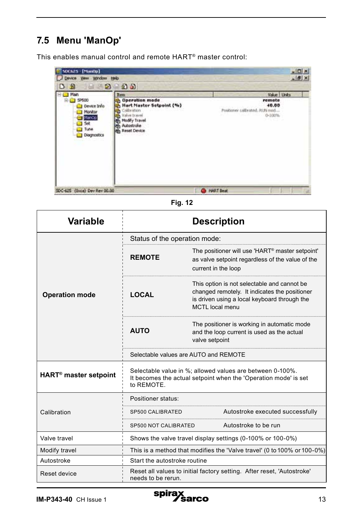### **7.5 Menu 'ManOp'**

This enables manual control and remote HART® master control:



**Fig. 12**

| Variable                          |                                                                                                                                            | <b>Description</b>                                                                                                                                                      |  |
|-----------------------------------|--------------------------------------------------------------------------------------------------------------------------------------------|-------------------------------------------------------------------------------------------------------------------------------------------------------------------------|--|
|                                   | Status of the operation mode:                                                                                                              |                                                                                                                                                                         |  |
|                                   | <b>REMOTE</b>                                                                                                                              | The positioner will use 'HART <sup>®</sup> master setpoint'<br>as valve setpoint regardless of the value of the<br>current in the loop                                  |  |
| <b>Operation mode</b>             | <b>LOCAL</b>                                                                                                                               | This option is not selectable and cannot be.<br>changed remotely. It indicates the positioner<br>is driven using a local keyboard through the<br><b>MCTL</b> local menu |  |
|                                   | <b>AUTO</b>                                                                                                                                | The positioner is working in automatic mode<br>and the loop current is used as the actual<br>valve setpoint                                                             |  |
|                                   | Selectable values are AUTO and REMOTE                                                                                                      |                                                                                                                                                                         |  |
| HART <sup>®</sup> master setpoint | Selectable value in %; allowed values are between 0-100%.<br>It becomes the actual setpoint when the 'Operation mode' is set<br>to REMOTE. |                                                                                                                                                                         |  |
|                                   | Positioner status:                                                                                                                         |                                                                                                                                                                         |  |
| Calibration                       | SP500 CALIBRATED                                                                                                                           | Autostroke executed successfully                                                                                                                                        |  |
|                                   | SP500 NOT CALIBRATED                                                                                                                       | Autostroke to be run                                                                                                                                                    |  |
| Valve travel                      | Shows the valve travel display settings (0-100% or 100-0%)                                                                                 |                                                                                                                                                                         |  |
| Modify travel                     | This is a method that modifies the 'Valve travel' (0 to 100% or 100-0%)                                                                    |                                                                                                                                                                         |  |
| Autostroke                        | Start the autostroke routine                                                                                                               |                                                                                                                                                                         |  |
| Reset device                      | Reset all values to initial factory setting. After reset, 'Autostroke'<br>needs to be rerun.                                               |                                                                                                                                                                         |  |

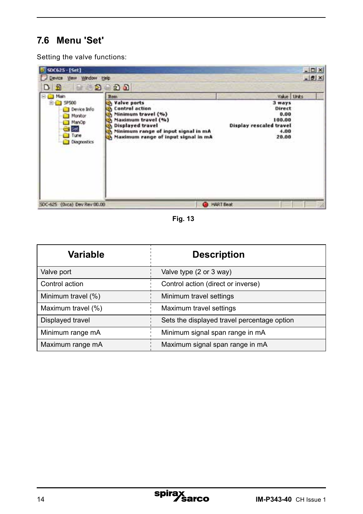## **7.6 Menu 'Set'**

Setting the valve functions:

| SDC625 - [Set]                                                                                   |                                                                                                                                                                                                          | $-10x$                                                                                               |
|--------------------------------------------------------------------------------------------------|----------------------------------------------------------------------------------------------------------------------------------------------------------------------------------------------------------|------------------------------------------------------------------------------------------------------|
| Device Mew Window Help                                                                           |                                                                                                                                                                                                          | $-15 \times$                                                                                         |
| D 2                                                                                              | $\begin{array}{c} \circ \\ \circ \\ \circ \end{array}$                                                                                                                                                   |                                                                                                      |
| E Main<br>$E - 13$ SP500<br>Device Info<br>Monitor<br>ManOp<br>Set<br>Tune<br><b>Diagnostics</b> | <b>Item</b><br><b>Valve ports</b><br><b>Control action</b><br>Minimum travel (%)<br>Maximum travel (%)<br>Displayed travel<br>Minimum range of input signal in mA<br>Maximum range of input signal in mA | Value Links<br>3 ways<br>Direct<br>0.00<br>100.00<br><b>Display rescaled travel</b><br>4.00<br>20.00 |
| SDC-625 (0xca) Dev Rev 00.00                                                                     |                                                                                                                                                                                                          | <b>HART Beat</b>                                                                                     |

**Fig. 13**

| Variable           | <b>Description</b>                          |
|--------------------|---------------------------------------------|
| Valve port         | Valve type (2 or 3 way)                     |
| Control action     | Control action (direct or inverse)          |
| Minimum travel (%) | Minimum travel settings                     |
| Maximum travel (%) | Maximum travel settings                     |
| Displayed travel   | Sets the displayed travel percentage option |
| Minimum range mA   | Minimum signal span range in mA             |
| Maximum range mA   | Maximum signal span range in mA             |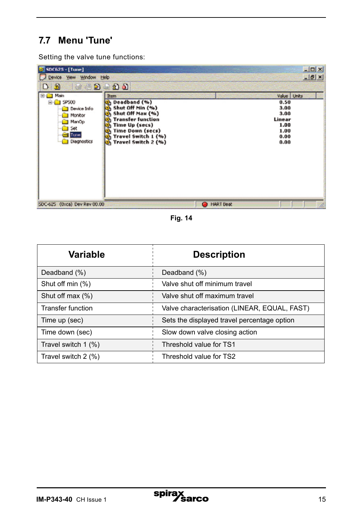## **7.7 Menu 'Tune'**

Setting the valve tune functions:

| <b>b</b> SDC625 - [Tune]                                                                                    |                                                                                                                                                                              | $ \Box$ $\times$                                                              |
|-------------------------------------------------------------------------------------------------------------|------------------------------------------------------------------------------------------------------------------------------------------------------------------------------|-------------------------------------------------------------------------------|
| Device Yew Window Help                                                                                      |                                                                                                                                                                              | $-0x$                                                                         |
| $D = 50$<br>800000                                                                                          |                                                                                                                                                                              |                                                                               |
| E-C Main<br><b>BHCI SP500</b><br>Device Info<br>Monitor<br>ManOp<br>Set<br>Tune <sup>1</sup><br>Diagnostics | Item<br>Deadband (%)<br>Shut Off Min (%)<br>Shut Off Max (%)<br><b>Transfer function</b><br>Time Up (secs)<br>Time Down (secs)<br>Travel Switch 1 (%)<br>Travel Switch 2 (%) | Value Units<br>0.50<br>3.00<br>3.00<br>Linear<br>1.00<br>1.00<br>0.00<br>0.00 |
| SDC-625 (0xca) Dev Rev 00.00                                                                                | o                                                                                                                                                                            | <b>HART Beat</b><br>h,                                                        |

**Fig. 14**

| Variable            | <b>Description</b>                           |
|---------------------|----------------------------------------------|
| Deadband (%)        | Deadband (%)                                 |
| Shut off min (%)    | Valve shut off minimum travel                |
| Shut off max (%)    | Valve shut off maximum travel                |
| Transfer function   | Valve characterisation (LINEAR, EQUAL, FAST) |
| Time up (sec)       | Sets the displayed travel percentage option  |
| Time down (sec)     | Slow down valve closing action               |
| Travel switch 1 (%) | Threshold value for TS1                      |
| Travel switch 2 (%) | Threshold value for TS2                      |